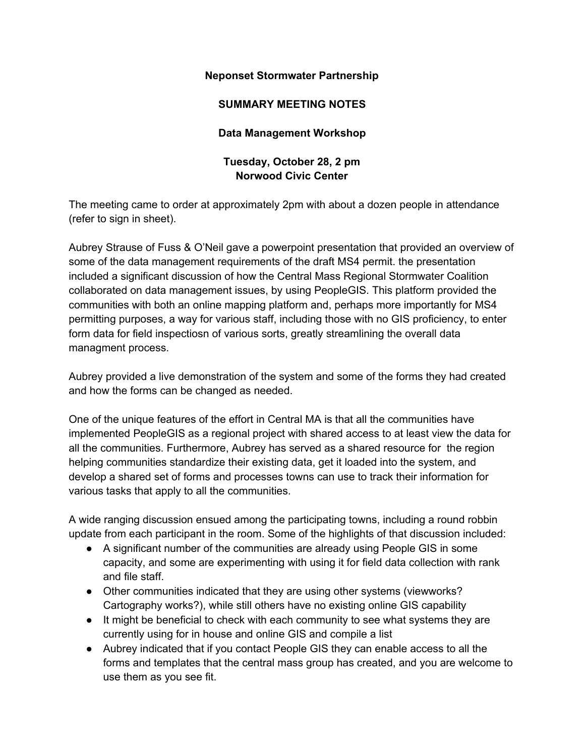## **Neponset Stormwater Partnership**

## **SUMMARY MEETING NOTES**

## **Data Management Workshop**

## **Tuesday, October 28, 2 pm Norwood Civic Center**

The meeting came to order at approximately 2pm with about a dozen people in attendance (refer to sign in sheet).

Aubrey Strause of Fuss & O'Neil gave a powerpoint presentation that provided an overview of some of the data management requirements of the draft MS4 permit. the presentation included a significant discussion of how the Central Mass Regional Stormwater Coalition collaborated on data management issues, by using PeopleGIS. This platform provided the communities with both an online mapping platform and, perhaps more importantly for MS4 permitting purposes, a way for various staff, including those with no GIS proficiency, to enter form data for field inspectiosn of various sorts, greatly streamlining the overall data managment process.

Aubrey provided a live demonstration of the system and some of the forms they had created and how the forms can be changed as needed.

One of the unique features of the effort in Central MA is that all the communities have implemented PeopleGIS as a regional project with shared access to at least view the data for all the communities. Furthermore, Aubrey has served as a shared resource for the region helping communities standardize their existing data, get it loaded into the system, and develop a shared set of forms and processes towns can use to track their information for various tasks that apply to all the communities.

A wide ranging discussion ensued among the participating towns, including a round robbin update from each participant in the room. Some of the highlights of that discussion included:

- A significant number of the communities are already using People GIS in some capacity, and some are experimenting with using it for field data collection with rank and file staff.
- Other communities indicated that they are using other systems (viewworks? Cartography works?), while still others have no existing online GIS capability
- It might be beneficial to check with each community to see what systems they are currently using for in house and online GIS and compile a list
- Aubrey indicated that if you contact People GIS they can enable access to all the forms and templates that the central mass group has created, and you are welcome to use them as you see fit.